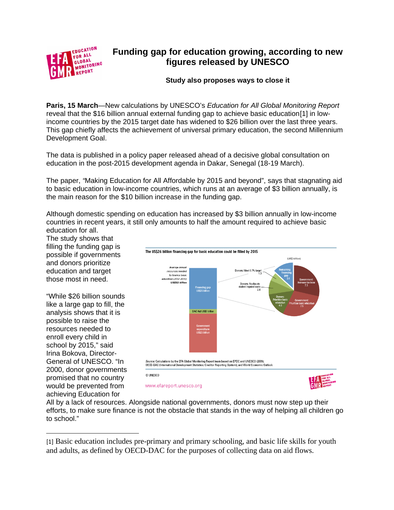

## **Funding gap for education growing, according to new figures released by UNESCO**

**Study also proposes ways to close it**

**Paris, 15 March**—New calculations by UNESCO's *Education for All Global Monitoring Report* reveal that the \$16 billion annual external funding gap to achieve basic education[\[1\]](#page-0-0) in lowincome countries by the 2015 target date has widened to \$26 billion over the last three years. This gap chiefly affects the achievement of universal primary education, the second Millennium Development Goal.

The data is published in a policy paper released ahead of a decisive global consultation on education in the post-2015 development agenda in Dakar, Senegal (18-19 March).

The paper, *"*Making Education for All Affordable by 2015 and beyond", says that stagnating aid to basic education in low-income countries, which runs at an average of \$3 billion annually, is the main reason for the \$10 billion increase in the funding gap.

Although domestic spending on education has increased by \$3 billion annually in low-income countries in recent years, it still only amounts to half the amount required to achieve basic education for all.

The study shows that filling the funding gap is possible if governments and donors prioritize education and target those most in need.

"While \$26 billion sounds like a large gap to fill, the analysis shows that it is possible to raise the resources needed to enroll every child in school by 2015," said Irina Bokova, Director-General of UNESCO. "In 2000, donor governments promised that no country would be prevented from achieving Education for

 $\overline{\phantom{a}}$ 



All by a lack of resources. Alongside national governments, donors must now step up their efforts, to make sure finance is not the obstacle that stands in the way of helping all children go to school."

<span id="page-0-0"></span><sup>[1]</sup> Basic education includes pre-primary and primary schooling, and basic life skills for youth and adults, as defined by OECD-DAC for the purposes of collecting data on aid flows.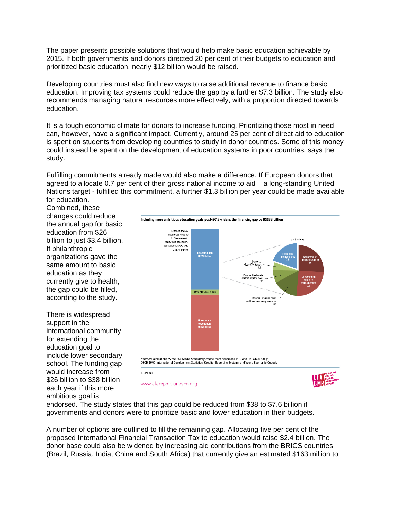The paper presents possible solutions that would help make basic education achievable by 2015. If both governments and donors directed 20 per cent of their budgets to education and prioritized basic education, nearly \$12 billion would be raised.

Developing countries must also find new ways to raise additional revenue to finance basic education. Improving tax systems could reduce the gap by a further \$7.3 billion. The study also recommends managing natural resources more effectively, with a proportion directed towards education.

It is a tough economic climate for donors to increase funding. Prioritizing those most in need can, however, have a significant impact. Currently, around 25 per cent of direct aid to education is spent on students from developing countries to study in donor countries. Some of this money could instead be spent on the development of education systems in poor countries, says the study.

Fulfilling commitments already made would also make a difference. If European donors that agreed to allocate 0.7 per cent of their gross national income to aid – a long-standing United Nations target - fulfilled this commitment, a further \$1.3 billion per year could be made available for education.

Combined, these changes could reduce the annual gap for basic education from \$26 billion to just \$3.4 billion. If philanthropic organizations gave the same amount to basic education as they currently give to health, the gap could be filled, according to the study.

There is widespread support in the international community for extending the education goal to include lower secondary school. The funding gap would increase from \$26 billion to \$38 billion each year if this more ambitious goal is







www.efareport.unesco.org



endorsed. The study states that this gap could be reduced from \$38 to \$7.6 billion if governments and donors were to prioritize basic and lower education in their budgets.

A number of options are outlined to fill the remaining gap. Allocating five per cent of the proposed International Financial Transaction Tax to education would raise \$2.4 billion. The donor base could also be widened by increasing aid contributions from the BRICS countries (Brazil, Russia, India, China and South Africa) that currently give an estimated \$163 million to